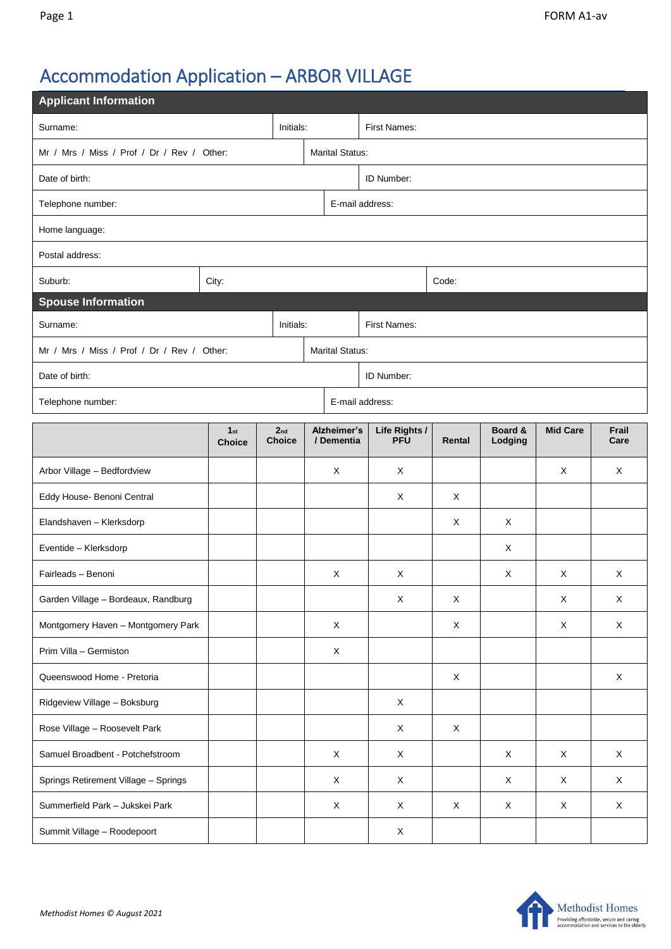# Accommodation Application – ARBOR VILLAGE

| <b>Applicant Information</b>               |                                  |                        |                                  |                           |                             |             |                    |                 |               |  |  |
|--------------------------------------------|----------------------------------|------------------------|----------------------------------|---------------------------|-----------------------------|-------------|--------------------|-----------------|---------------|--|--|
| Initials:<br>Surname:                      |                                  |                        |                                  | <b>First Names:</b>       |                             |             |                    |                 |               |  |  |
| Mr / Mrs / Miss / Prof / Dr / Rev / Other: |                                  |                        |                                  | <b>Marital Status:</b>    |                             |             |                    |                 |               |  |  |
| Date of birth:                             |                                  | ID Number:             |                                  |                           |                             |             |                    |                 |               |  |  |
| Telephone number:                          |                                  | E-mail address:        |                                  |                           |                             |             |                    |                 |               |  |  |
| Home language:                             |                                  |                        |                                  |                           |                             |             |                    |                 |               |  |  |
| Postal address:                            |                                  |                        |                                  |                           |                             |             |                    |                 |               |  |  |
| Suburb:                                    | City:                            |                        |                                  |                           |                             | Code:       |                    |                 |               |  |  |
| <b>Spouse Information</b>                  |                                  |                        |                                  |                           |                             |             |                    |                 |               |  |  |
| Surname:                                   |                                  |                        | Initials:                        | <b>First Names:</b>       |                             |             |                    |                 |               |  |  |
| Mr / Mrs / Miss / Prof / Dr / Rev / Other: |                                  | <b>Marital Status:</b> |                                  |                           |                             |             |                    |                 |               |  |  |
| Date of birth:                             |                                  |                        |                                  | ID Number:                |                             |             |                    |                 |               |  |  |
| E-mail address:<br>Telephone number:       |                                  |                        |                                  |                           |                             |             |                    |                 |               |  |  |
|                                            | 1 <sub>st</sub><br><b>Choice</b> |                        | 2 <sub>nd</sub><br><b>Choice</b> | Alzheimer's<br>/ Dementia | Life Rights /<br><b>PFU</b> | Rental      | Board &<br>Lodging | <b>Mid Care</b> | Frail<br>Care |  |  |
| Arbor Village - Bedfordview                |                                  |                        |                                  | X                         | X                           |             |                    | X               | X             |  |  |
| Eddy House- Benoni Central                 |                                  |                        |                                  |                           | X                           | X           |                    |                 |               |  |  |
| Elandshaven - Klerksdorp                   |                                  |                        |                                  |                           |                             | X           | X                  |                 |               |  |  |
| Eventide - Klerksdorp                      |                                  |                        |                                  |                           |                             |             | X                  |                 |               |  |  |
| Fairleads - Benoni                         |                                  |                        |                                  | X                         | X                           |             | X                  | X               | X             |  |  |
| Garden Village - Bordeaux, Randburg        |                                  |                        |                                  |                           | X                           | Χ           |                    | $\mathsf X$     | X             |  |  |
| Montgomery Haven - Montgomery Park         |                                  |                        |                                  | X                         |                             | X           |                    | X               | X             |  |  |
| Prim Villa - Germiston                     |                                  |                        |                                  | X                         |                             |             |                    |                 |               |  |  |
| Queenswood Home - Pretoria                 |                                  |                        |                                  |                           |                             | X           |                    |                 | $\mathsf X$   |  |  |
| Ridgeview Village - Boksburg               |                                  |                        |                                  |                           | $\mathsf X$                 |             |                    |                 |               |  |  |
| Rose Village - Roosevelt Park              |                                  |                        |                                  |                           | X                           | $\mathsf X$ |                    |                 |               |  |  |
| Samuel Broadbent - Potchefstroom           |                                  |                        |                                  | $\mathsf X$               | X                           |             | X                  | X               | $\mathsf X$   |  |  |
| Springs Retirement Village - Springs       |                                  |                        |                                  | X                         | X                           |             | X                  | X               | $\mathsf{X}$  |  |  |
| Summerfield Park - Jukskei Park            |                                  |                        |                                  | X                         | X                           | X           | X                  | X               | $\mathsf{X}$  |  |  |
| Summit Village - Roodepoort                |                                  |                        |                                  |                           | X                           |             |                    |                 |               |  |  |

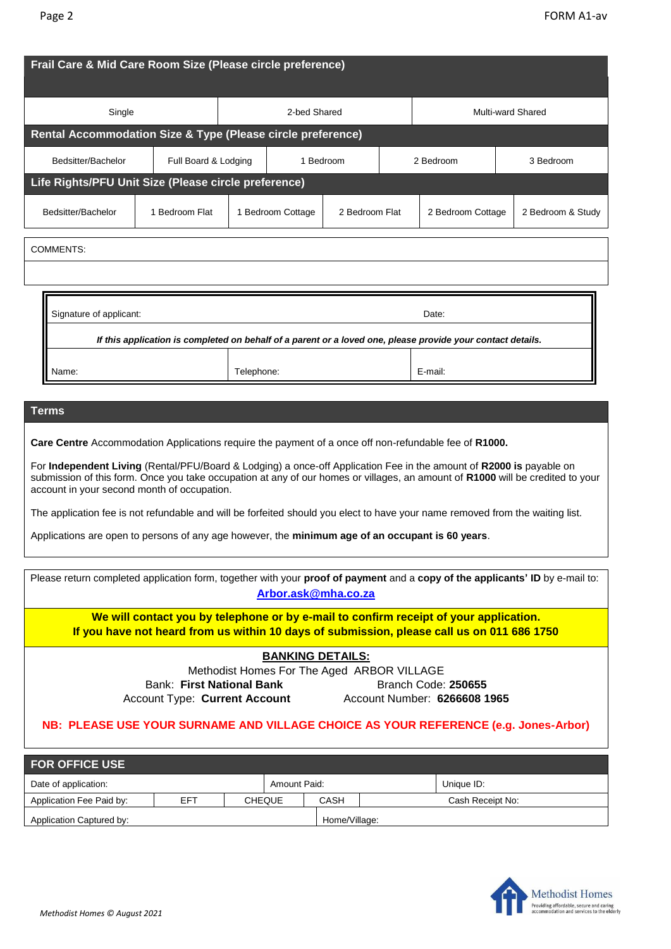| Single                                                                                                      |                | 2-bed Shared      |           |                | Multi-ward Shared |                   |  |                   |  |
|-------------------------------------------------------------------------------------------------------------|----------------|-------------------|-----------|----------------|-------------------|-------------------|--|-------------------|--|
| <b>Rental Accommodation Size &amp; Type (Please circle preference)</b>                                      |                |                   |           |                |                   |                   |  |                   |  |
| Bedsitter/Bachelor<br>Full Board & Lodging                                                                  |                |                   | 1 Bedroom |                |                   | 2 Bedroom         |  | 3 Bedroom         |  |
| Life Rights/PFU Unit Size (Please circle preference)                                                        |                |                   |           |                |                   |                   |  |                   |  |
| Bedsitter/Bachelor                                                                                          | 1 Bedroom Flat | 1 Bedroom Cottage |           | 2 Bedroom Flat |                   | 2 Bedroom Cottage |  | 2 Bedroom & Study |  |
| <b>COMMENTS:</b>                                                                                            |                |                   |           |                |                   |                   |  |                   |  |
|                                                                                                             |                |                   |           |                |                   |                   |  |                   |  |
| Signature of applicant:<br>Date:                                                                            |                |                   |           |                |                   |                   |  |                   |  |
| If this application is completed on behalf of a parent or a loved one, please provide your contact details. |                |                   |           |                |                   |                   |  |                   |  |
| Name:                                                                                                       | Telephone:     |                   |           | E-mail:        |                   |                   |  |                   |  |

#### **Terms**

**Care Centre** Accommodation Applications require the payment of a once off non-refundable fee of **R1000.**

For **Independent Living** (Rental/PFU/Board & Lodging) a once-off Application Fee in the amount of **R2000 is** payable on submission of this form. Once you take occupation at any of our homes or villages, an amount of **R1000** will be credited to your account in your second month of occupation.

The application fee is not refundable and will be forfeited should you elect to have your name removed from the waiting list.

Applications are open to persons of any age however, the **minimum age of an occupant is 60 years**.

| Please return completed application form, together with your proof of payment and a copy of the applicants' ID by e-mail to: |
|------------------------------------------------------------------------------------------------------------------------------|
| Arbor.ask@mha.co.za                                                                                                          |
|                                                                                                                              |

**We will contact you by telephone or by e-mail to confirm receipt of your application. If you have not heard from us within 10 days of submission, please call us on 011 686 1750**

#### **BANKING DETAILS:**

Methodist Homes For The Aged ARBOR VILLAGE Bank: First National Bank **Branch Code: 250655** 

Account Type: **Current Account** Account Number: **6266608 1965**

## **NB: PLEASE USE YOUR SURNAME AND VILLAGE CHOICE AS YOUR REFERENCE (e.g. Jones-Arbor)**

| <b>FOR OFFICE USE</b>                |     |               |  |               |  |                  |  |  |  |
|--------------------------------------|-----|---------------|--|---------------|--|------------------|--|--|--|
| Amount Paid:<br>Date of application: |     |               |  |               |  | Unique ID:       |  |  |  |
| Application Fee Paid by:             | EFT | <b>CHEQUE</b> |  | CASH          |  | Cash Receipt No: |  |  |  |
| Application Captured by:             |     |               |  | Home/Village: |  |                  |  |  |  |

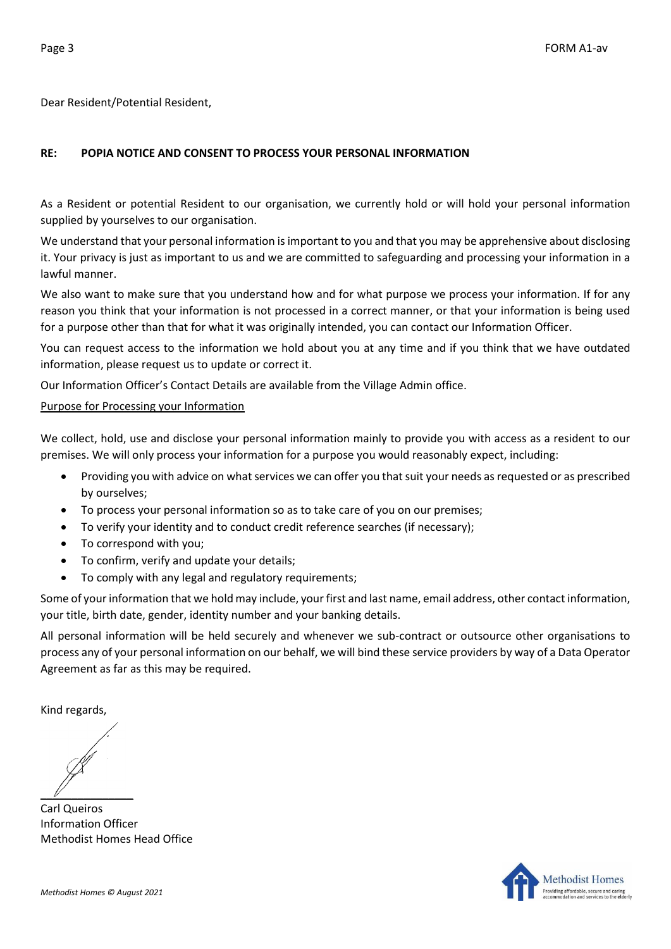Dear Resident/Potential Resident,

# **RE: POPIA NOTICE AND CONSENT TO PROCESS YOUR PERSONAL INFORMATION**

As a Resident or potential Resident to our organisation, we currently hold or will hold your personal information supplied by yourselves to our organisation.

We understand that your personal information is important to you and that you may be apprehensive about disclosing it. Your privacy is just as important to us and we are committed to safeguarding and processing your information in a lawful manner.

We also want to make sure that you understand how and for what purpose we process your information. If for any reason you think that your information is not processed in a correct manner, or that your information is being used for a purpose other than that for what it was originally intended, you can contact our Information Officer.

You can request access to the information we hold about you at any time and if you think that we have outdated information, please request us to update or correct it.

Our Information Officer's Contact Details are available from the Village Admin office.

#### Purpose for Processing your Information

We collect, hold, use and disclose your personal information mainly to provide you with access as a resident to our premises. We will only process your information for a purpose you would reasonably expect, including:

- Providing you with advice on what services we can offer you that suit your needs as requested or as prescribed by ourselves;
- To process your personal information so as to take care of you on our premises;
- To verify your identity and to conduct credit reference searches (if necessary);
- To correspond with you;
- To confirm, verify and update your details;
- To comply with any legal and regulatory requirements;

Some of your information that we hold may include, your first and last name, email address, other contact information, your title, birth date, gender, identity number and your banking details.

All personal information will be held securely and whenever we sub-contract or outsource other organisations to process any of your personal information on our behalf, we will bind these service providers by way of a Data Operator Agreement as far as this may be required.

Kind regards,

 $\mathscr{U}$ 

Carl Queiros Information Officer Methodist Homes Head Office